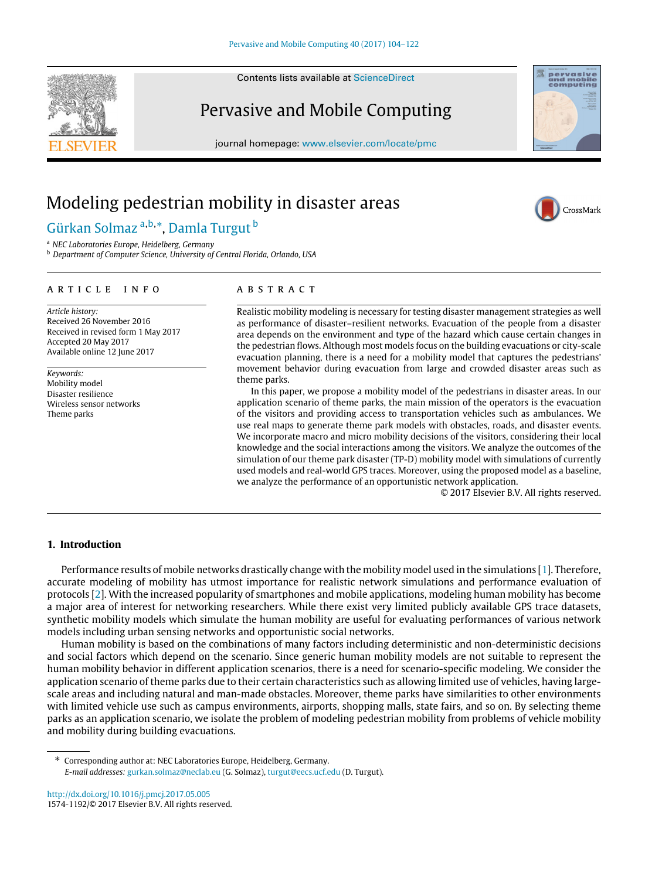Contents lists available at [ScienceDirect](http://www.elsevier.com/locate/pmc)

## Pervasive and Mobile Computing

journal homepage: [www.elsevier.com/locate/pmc](http://www.elsevier.com/locate/pmc)

# Modeling pedestrian mobility in disaster areas

[Gürkan](#page--1-0) [Solmaz](#page--1-0) <sup>[a,](#page-0-0)[b,](#page-0-1)</sup>[\\*](#page-0-2), [Damla](#page--1-1) [Turgut](#page--1-1) <sup>[b](#page-0-1)</sup>

<span id="page-0-0"></span><sup>a</sup> *NEC Laboratories Europe, Heidelberg, Germany*

<span id="page-0-1"></span><sup>b</sup> *Department of Computer Science, University of Central Florida, Orlando, USA*

### ARTICLE INFO

*Article history:* Received 26 November 2016 Received in revised form 1 May 2017 Accepted 20 May 2017 Available online 12 June 2017

*Keywords:* Mobility model Disaster resilience Wireless sensor networks Theme parks

### A B S T R A C T

Realistic mobility modeling is necessary for testing disaster management strategies as well as performance of disaster–resilient networks. Evacuation of the people from a disaster area depends on the environment and type of the hazard which cause certain changes in the pedestrian flows. Although most models focus on the building evacuations or city-scale evacuation planning, there is a need for a mobility model that captures the pedestrians' movement behavior during evacuation from large and crowded disaster areas such as theme parks.

In this paper, we propose a mobility model of the pedestrians in disaster areas. In our application scenario of theme parks, the main mission of the operators is the evacuation of the visitors and providing access to transportation vehicles such as ambulances. We use real maps to generate theme park models with obstacles, roads, and disaster events. We incorporate macro and micro mobility decisions of the visitors, considering their local knowledge and the social interactions among the visitors. We analyze the outcomes of the simulation of our theme park disaster (TP-D) mobility model with simulations of currently used models and real-world GPS traces. Moreover, using the proposed model as a baseline, we analyze the performance of an opportunistic network application.

© 2017 Elsevier B.V. All rights reserved.

#### **1. Introduction**

Performance results of mobile networks drastically change with the mobility model used in the simulations [\[1\]](#page--1-2). Therefore, accurate modeling of mobility has utmost importance for realistic network simulations and performance evaluation of protocols [\[2\]](#page--1-3). With the increased popularity of smartphones and mobile applications, modeling human mobility has become a major area of interest for networking researchers. While there exist very limited publicly available GPS trace datasets, synthetic mobility models which simulate the human mobility are useful for evaluating performances of various network models including urban sensing networks and opportunistic social networks.

Human mobility is based on the combinations of many factors including deterministic and non-deterministic decisions and social factors which depend on the scenario. Since generic human mobility models are not suitable to represent the human mobility behavior in different application scenarios, there is a need for scenario-specific modeling. We consider the application scenario of theme parks due to their certain characteristics such as allowing limited use of vehicles, having largescale areas and including natural and man-made obstacles. Moreover, theme parks have similarities to other environments with limited vehicle use such as campus environments, airports, shopping malls, state fairs, and so on. By selecting theme parks as an application scenario, we isolate the problem of modeling pedestrian mobility from problems of vehicle mobility and mobility during building evacuations.

<span id="page-0-2"></span>\* Corresponding author at: NEC Laboratories Europe, Heidelberg, Germany. *E-mail addresses:* [gurkan.solmaz@neclab.eu](mailto:gurkan.solmaz@neclab.eu) (G. Solmaz), [turgut@eecs.ucf.edu](mailto:turgut@eecs.ucf.edu) (D. Turgut).

<http://dx.doi.org/10.1016/j.pmcj.2017.05.005> 1574-1192/© 2017 Elsevier B.V. All rights reserved.





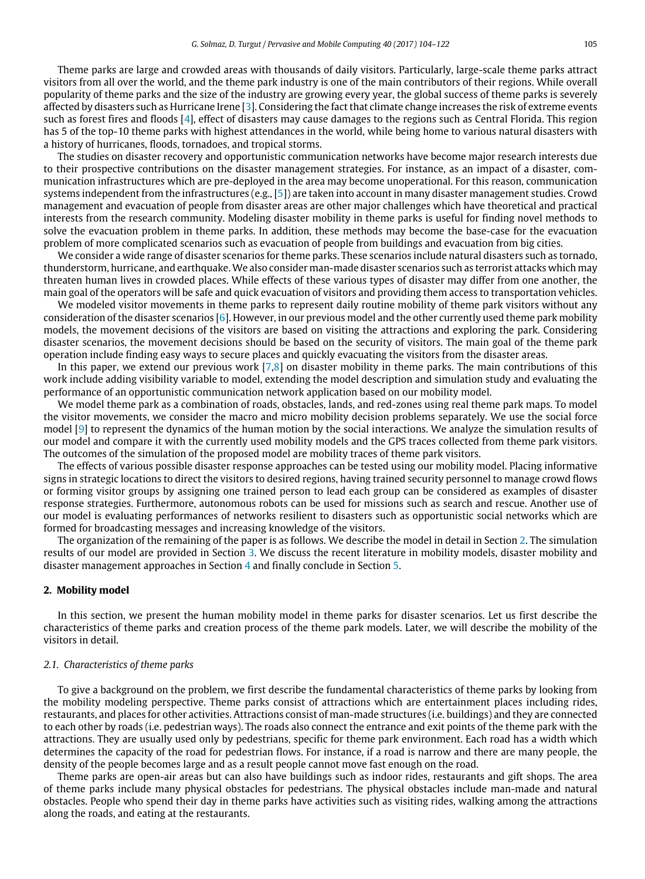Theme parks are large and crowded areas with thousands of daily visitors. Particularly, large-scale theme parks attract visitors from all over the world, and the theme park industry is one of the main contributors of their regions. While overall popularity of theme parks and the size of the industry are growing every year, the global success of theme parks is severely affected by disasters such as Hurricane Irene [\[3\]](#page--1-4). Considering the fact that climate change increases the risk of extreme events such as forest fires and floods [\[4\]](#page--1-5), effect of disasters may cause damages to the regions such as Central Florida. This region has 5 of the top-10 theme parks with highest attendances in the world, while being home to various natural disasters with a history of hurricanes, floods, tornadoes, and tropical storms.

The studies on disaster recovery and opportunistic communication networks have become major research interests due to their prospective contributions on the disaster management strategies. For instance, as an impact of a disaster, communication infrastructures which are pre-deployed in the area may become unoperational. For this reason, communication systems independent from the infrastructures (e.g., [\[5\]](#page--1-6)) are taken into account in many disaster management studies. Crowd management and evacuation of people from disaster areas are other major challenges which have theoretical and practical interests from the research community. Modeling disaster mobility in theme parks is useful for finding novel methods to solve the evacuation problem in theme parks. In addition, these methods may become the base-case for the evacuation problem of more complicated scenarios such as evacuation of people from buildings and evacuation from big cities.

We consider a wide range of disaster scenarios for theme parks. These scenarios include natural disasters such as tornado, thunderstorm, hurricane, and earthquake.We also consider man-made disaster scenarios such as terrorist attacks which may threaten human lives in crowded places. While effects of these various types of disaster may differ from one another, the main goal of the operators will be safe and quick evacuation of visitors and providing them access to transportation vehicles.

We modeled visitor movements in theme parks to represent daily routine mobility of theme park visitors without any consideration of the disaster scenarios  $[6]$ . However, in our previous model and the other currently used theme park mobility models, the movement decisions of the visitors are based on visiting the attractions and exploring the park. Considering disaster scenarios, the movement decisions should be based on the security of visitors. The main goal of the theme park operation include finding easy ways to secure places and quickly evacuating the visitors from the disaster areas.

In this paper, we extend our previous work [\[7](#page--1-8)[,8\]](#page--1-9) on disaster mobility in theme parks. The main contributions of this work include adding visibility variable to model, extending the model description and simulation study and evaluating the performance of an opportunistic communication network application based on our mobility model.

We model theme park as a combination of roads, obstacles, lands, and red-zones using real theme park maps. To model the visitor movements, we consider the macro and micro mobility decision problems separately. We use the social force model [\[9\]](#page--1-10) to represent the dynamics of the human motion by the social interactions. We analyze the simulation results of our model and compare it with the currently used mobility models and the GPS traces collected from theme park visitors. The outcomes of the simulation of the proposed model are mobility traces of theme park visitors.

The effects of various possible disaster response approaches can be tested using our mobility model. Placing informative signs in strategic locations to direct the visitors to desired regions, having trained security personnel to manage crowd flows or forming visitor groups by assigning one trained person to lead each group can be considered as examples of disaster response strategies. Furthermore, autonomous robots can be used for missions such as search and rescue. Another use of our model is evaluating performances of networks resilient to disasters such as opportunistic social networks which are formed for broadcasting messages and increasing knowledge of the visitors.

The organization of the remaining of the paper is as follows. We describe the model in detail in Section [2.](#page-1-0) The simulation results of our model are provided in Section [3.](#page--1-11) We discuss the recent literature in mobility models, disaster mobility and disaster management approaches in Section [4](#page--1-12) and finally conclude in Section [5.](#page--1-13)

#### <span id="page-1-0"></span>**2. Mobility model**

In this section, we present the human mobility model in theme parks for disaster scenarios. Let us first describe the characteristics of theme parks and creation process of the theme park models. Later, we will describe the mobility of the visitors in detail.

#### *2.1. Characteristics of theme parks*

To give a background on the problem, we first describe the fundamental characteristics of theme parks by looking from the mobility modeling perspective. Theme parks consist of attractions which are entertainment places including rides, restaurants, and places for other activities. Attractions consist of man-made structures (i.e. buildings) and they are connected to each other by roads (i.e. pedestrian ways). The roads also connect the entrance and exit points of the theme park with the attractions. They are usually used only by pedestrians, specific for theme park environment. Each road has a width which determines the capacity of the road for pedestrian flows. For instance, if a road is narrow and there are many people, the density of the people becomes large and as a result people cannot move fast enough on the road.

Theme parks are open-air areas but can also have buildings such as indoor rides, restaurants and gift shops. The area of theme parks include many physical obstacles for pedestrians. The physical obstacles include man-made and natural obstacles. People who spend their day in theme parks have activities such as visiting rides, walking among the attractions along the roads, and eating at the restaurants.